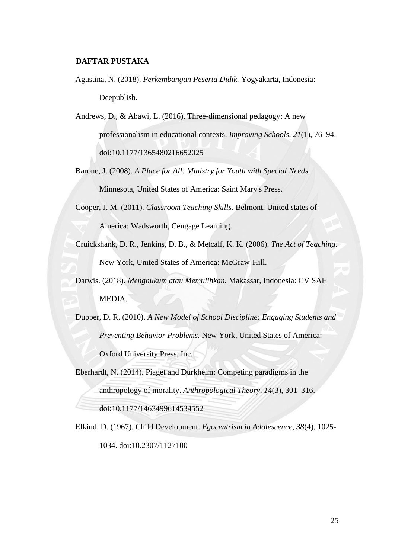## **DAFTAR PUSTAKA**

- Agustina, N. (2018). *Perkembangan Peserta Didik.* Yogyakarta, Indonesia: Deepublish.
- Andrews, D., & Abawi, L. (2016). Three-dimensional pedagogy: A new professionalism in educational contexts. *Improving Schools, 21*(1), 76–94. doi:10.1177/1365480216652025
- Barone, J. (2008). *A Place for All: Ministry for Youth with Special Needs.* Minnesota, United States of America: Saint Mary's Press.
- Cooper, J. M. (2011). *Classroom Teaching Skills.* Belmont, United states of America: Wadsworth, Cengage Learning.
- Cruickshank, D. R., Jenkins, D. B., & Metcalf, K. K. (2006). *The Act of Teaching.* New York, United States of America: McGraw-Hill.
- Darwis. (2018). *Menghukum atau Memulihkan.* Makassar, Indonesia: CV SAH MEDIA.
- Dupper, D. R. (2010). *A New Model of School Discipline: Engaging Students and Preventing Behavior Problems.* New York, United States of America: Oxford University Press, Inc.
- Eberhardt, N. (2014). Piaget and Durkheim: Competing paradigms in the anthropology of morality. *Anthropological Theory, 14*(3), 301–316. doi:10.1177/1463499614534552
- Elkind, D. (1967). Child Development. *Egocentrism in Adolescence, 38*(4), 1025- 1034. doi:10.2307/1127100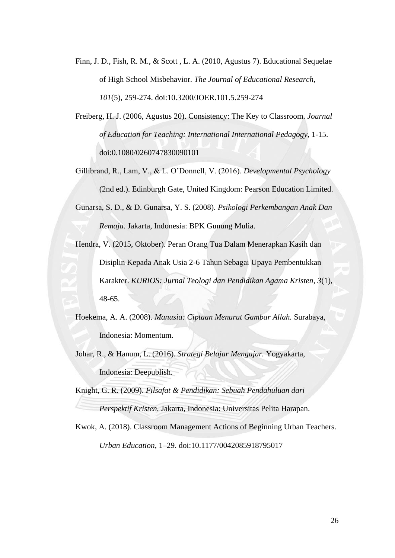Finn, J. D., Fish, R. M., & Scott , L. A. (2010, Agustus 7). Educational Sequelae of High School Misbehavior. *The Journal of Educational Research, 101*(5), 259-274. doi:10.3200/JOER.101.5.259-274

Freiberg, H. J. (2006, Agustus 20). Consistency: The Key to Classroom. *Journal of Education for Teaching: International International Pedagogy*, 1-15. doi:0.1080/0260747830090101

Gillibrand, R., Lam, V., & L. O'Donnell, V. (2016). *Developmental Psychology* (2nd ed.). Edinburgh Gate, United Kingdom: Pearson Education Limited.

Gunarsa, S. D., & D. Gunarsa, Y. S. (2008). *Psikologi Perkembangan Anak Dan Remaja.* Jakarta, Indonesia: BPK Gunung Mulia.

Hendra, V. (2015, Oktober). Peran Orang Tua Dalam Menerapkan Kasih dan

Disiplin Kepada Anak Usia 2-6 Tahun Sebagai Upaya Pembentukkan Karakter. *KURIOS: Jurnal Teologi dan Pendidikan Agama Kristen, 3*(1), 48-65.

Hoekema, A. A. (2008). *Manusia: Ciptaan Menurut Gambar Allah.* Surabaya, Indonesia: Momentum.

Johar, R., & Hanum, L. (2016). *Strategi Belajar Mengajar.* Yogyakarta, Indonesia: Deepublish.

Knight, G. R. (2009). *Filsafat & Pendidikan: Sebuah Pendahuluan dari Perspektif Kristen.* Jakarta, Indonesia: Universitas Pelita Harapan.

Kwok, A. (2018). Classroom Management Actions of Beginning Urban Teachers. *Urban Education*, 1–29. doi:10.1177/0042085918795017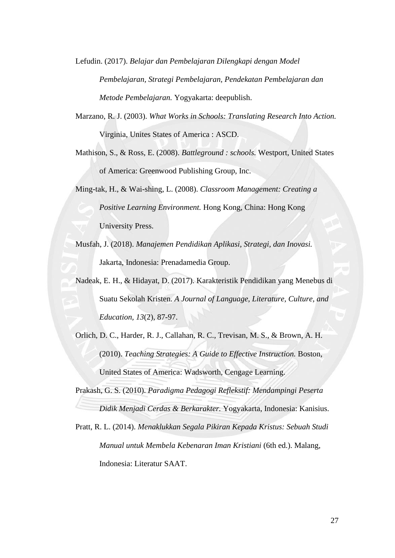Lefudin. (2017). *Belajar dan Pembelajaran Dilengkapi dengan Model Pembelajaran, Strategi Pembelajaran, Pendekatan Pembelajaran dan Metode Pembelajaran.* Yogyakarta: deepublish.

Marzano, R. J. (2003). *What Works in Schools: Translating Research Into Action.* Virginia, Unites States of America : ASCD.

Mathison, S., & Ross, E. (2008). *Battleground : schools.* Westport, United States of America: Greenwood Publishing Group, Inc.

Ming-tak, H., & Wai-shing, L. (2008). *Classroom Management: Creating a Positive Learning Environment.* Hong Kong, China: Hong Kong University Press.

- Musfah, J. (2018). *Manajemen Pendidikan Aplikasi, Strategi, dan Inovasi.* Jakarta, Indonesia: Prenadamedia Group.
- Nadeak, E. H., & Hidayat, D. (2017). Karakteristik Pendidikan yang Menebus di Suatu Sekolah Kristen. *A Journal of Language, Literature, Culture, and Education, 13*(2), 87-97.
- Orlich, D. C., Harder, R. J., Callahan, R. C., Trevisan, M. S., & Brown, A. H. (2010). *Teaching Strategies: A Guide to Effective Instruction.* Boston, United States of America: Wadsworth, Cengage Learning.

Prakash, G. S. (2010). *Paradigma Pedagogi Reflekstif: Mendampingi Peserta Didik Menjadi Cerdas & Berkarakter.* Yogyakarta, Indonesia: Kanisius.

Pratt, R. L. (2014). *Menaklukkan Segala Pikiran Kepada Kristus: Sebuah Studi Manual untuk Membela Kebenaran Iman Kristiani* (6th ed.). Malang, Indonesia: Literatur SAAT.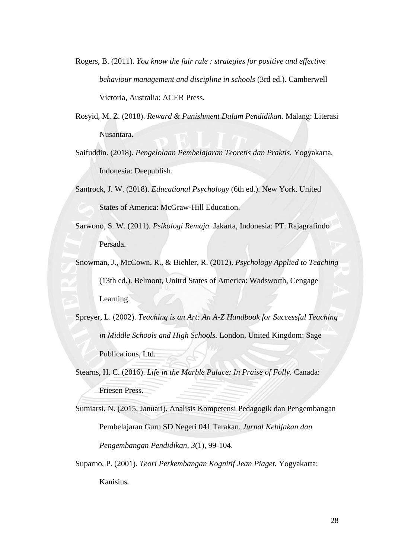- Rogers, B. (2011). *You know the fair rule : strategies for positive and effective behaviour management and discipline in schools* (3rd ed.). Camberwell Victoria, Australia: ACER Press.
- Rosyid, M. Z. (2018). *Reward & Punishment Dalam Pendidikan.* Malang: Literasi Nusantara.
- Saifuddin. (2018). *Pengelolaan Pembelajaran Teoretis dan Praktis.* Yogyakarta, Indonesia: Deepublish.
- Santrock, J. W. (2018). *Educational Psychology* (6th ed.). New York, United States of America: McGraw-Hill Education.
- Sarwono, S. W. (2011). *Psikologi Remaja.* Jakarta, Indonesia: PT. Rajagrafindo Persada.
- Snowman, J., McCown, R., & Biehler, R. (2012). *Psychology Applied to Teaching* (13th ed.). Belmont, Unitrd States of America: Wadsworth, Cengage Learning.
- Spreyer, L. (2002). *Teaching is an Art: An A-Z Handbook for Successful Teaching in Middle Schools and High Schools.* London, United Kingdom: Sage Publications, Ltd.
- Stearns, H. C. (2016). *Life in the Marble Palace: In Praise of Folly.* Canada: Friesen Press.

Sumiarsi, N. (2015, Januari). Analisis Kompetensi Pedagogik dan Pengembangan Pembelajaran Guru SD Negeri 041 Tarakan. *Jurnal Kebijakan dan Pengembangan Pendidikan, 3*(1), 99-104.

Suparno, P. (2001). *Teori Perkembangan Kognitif Jean Piaget.* Yogyakarta: Kanisius.